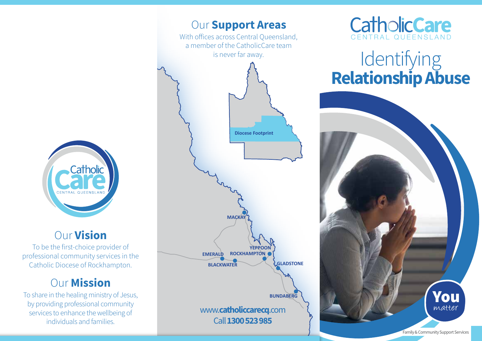

## Our Vision

To be the first-choice provider of professional community services in the Catholic Diocese of Rockhampton.

## Our Mission

To share in the healing ministry of Jesus, by providing professional community services to enhance the wellbeing of individuals and families.





# Identifying Relationship Abuse